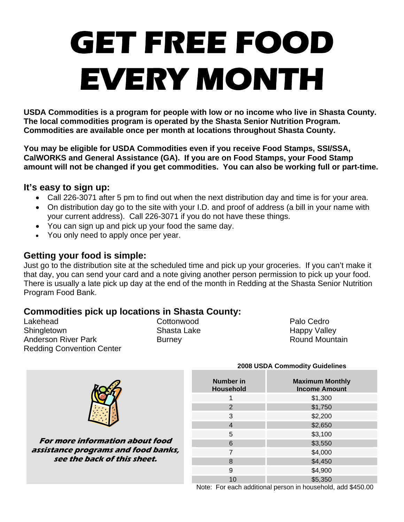# **GET FREE FOOD EVERY MONTH**

**USDA Commodities is a program for people with low or no income who live in Shasta County. The local commodities program is operated by the Shasta Senior Nutrition Program. Commodities are available once per month at locations throughout Shasta County.** 

**You may be eligible for USDA Commodities even if you receive Food Stamps, SSI/SSA, CalWORKS and General Assistance (GA). If you are on Food Stamps, your Food Stamp amount will not be changed if you get commodities. You can also be working full or part-time.** 

## **It's easy to sign up:**

- Call 226-3071 after 5 pm to find out when the next distribution day and time is for your area.
- On distribution day go to the site with your I.D. and proof of address (a bill in your name with your current address). Call 226-3071 if you do not have these things.
- You can sign up and pick up your food the same day.
- You only need to apply once per year.

## **Getting your food is simple:**

Just go to the distribution site at the scheduled time and pick up your groceries. If you can't make it that day, you can send your card and a note giving another person permission to pick up your food. There is usually a late pick up day at the end of the month in Redding at the Shasta Senior Nutrition Program Food Bank.

## **Commodities pick up locations in Shasta County:**

Lakehead Cottonwood Palo Cedro Shingletown Shasta Lake Happy Valley Anderson River Park **Burney** Burney **Round Mountain** Redding Convention Center



**For more information about food assistance programs and food banks, see the back of this sheet.** 

| <b>Number in</b><br><b>Household</b> | <b>Maximum Monthly</b><br><b>Income Amount</b> |
|--------------------------------------|------------------------------------------------|
|                                      | \$1,300                                        |
| 2                                    | \$1,750                                        |
| 3                                    | \$2,200                                        |
| 4                                    | \$2,650                                        |
| 5                                    | \$3,100                                        |
| 6                                    | \$3,550                                        |
| 7                                    | \$4,000                                        |
| 8                                    | \$4,450                                        |
| 9                                    | \$4,900                                        |
| 10                                   | \$5,350                                        |

 **2008 USDA Commodity Guidelines** 

Note: For each additional person in household, add \$450.00